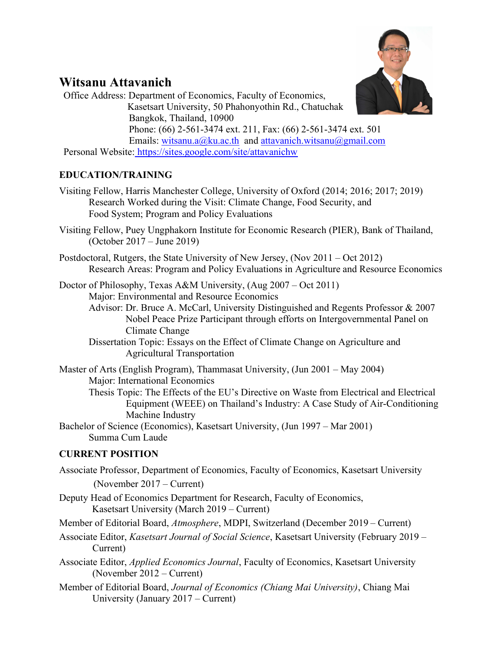

# Witsanu Attavanich

Office Address: Department of Economics, Faculty of Economics, Kasetsart University, 50 Phahonyothin Rd., Chatuchak Bangkok, Thailand, 10900 Phone: (66) 2-561-3474 ext. 211, Fax: (66) 2-561-3474 ext. 501 Emails: witsanu.a@ku.ac.th and attavanich.witsanu@gmail.com Personal Website: https://sites.google.com/site/attavanichw

# EDUCATION/TRAINING

- Visiting Fellow, Harris Manchester College, University of Oxford (2014; 2016; 2017; 2019) Research Worked during the Visit: Climate Change, Food Security, and Food System; Program and Policy Evaluations
- Visiting Fellow, Puey Ungphakorn Institute for Economic Research (PIER), Bank of Thailand, (October 2017 – June 2019)
- Postdoctoral, Rutgers, the State University of New Jersey, (Nov 2011 Oct 2012) Research Areas: Program and Policy Evaluations in Agriculture and Resource Economics

Doctor of Philosophy, Texas A&M University, (Aug 2007 – Oct 2011) Major: Environmental and Resource Economics

- Advisor: Dr. Bruce A. McCarl, University Distinguished and Regents Professor & 2007 Nobel Peace Prize Participant through efforts on Intergovernmental Panel on Climate Change
- Dissertation Topic: Essays on the Effect of Climate Change on Agriculture and Agricultural Transportation

Master of Arts (English Program), Thammasat University, (Jun 2001 – May 2004) Major: International Economics Thesis Topic: The Effects of the EU's Directive on Waste from Electrical and Electrical Equipment (WEEE) on Thailand's Industry: A Case Study of Air-Conditioning Machine Industry

Bachelor of Science (Economics), Kasetsart University, (Jun 1997 – Mar 2001) Summa Cum Laude

# CURRENT POSITION

Associate Professor, Department of Economics, Faculty of Economics, Kasetsart University (November 2017 – Current)

- Deputy Head of Economics Department for Research, Faculty of Economics, Kasetsart University (March 2019 – Current)
- Member of Editorial Board, Atmosphere, MDPI, Switzerland (December 2019 Current)
- Associate Editor, Kasetsart Journal of Social Science, Kasetsart University (February 2019 Current)
- Associate Editor, Applied Economics Journal, Faculty of Economics, Kasetsart University (November 2012 – Current)
- Member of Editorial Board, Journal of Economics (Chiang Mai University), Chiang Mai University (January 2017 – Current)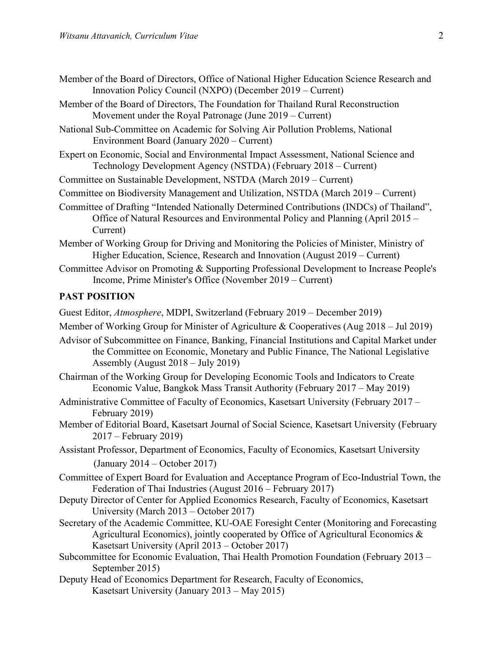- Member of the Board of Directors, Office of National Higher Education Science Research and Innovation Policy Council (NXPO) (December 2019 – Current)
- Member of the Board of Directors, The Foundation for Thailand Rural Reconstruction Movement under the Royal Patronage (June 2019 – Current)
- National Sub-Committee on Academic for Solving Air Pollution Problems, National Environment Board (January 2020 – Current)
- Expert on Economic, Social and Environmental Impact Assessment, National Science and Technology Development Agency (NSTDA) (February 2018 – Current)
- Committee on Sustainable Development, NSTDA (March 2019 Current)
- Committee on Biodiversity Management and Utilization, NSTDA (March 2019 Current)

Committee of Drafting "Intended Nationally Determined Contributions (INDCs) of Thailand", Office of Natural Resources and Environmental Policy and Planning (April 2015 – Current)

- Member of Working Group for Driving and Monitoring the Policies of Minister, Ministry of Higher Education, Science, Research and Innovation (August 2019 – Current)
- Committee Advisor on Promoting & Supporting Professional Development to Increase People's Income, Prime Minister's Office (November 2019 – Current)

#### PAST POSITION

Guest Editor, Atmosphere, MDPI, Switzerland (February 2019 – December 2019)

Member of Working Group for Minister of Agriculture & Cooperatives (Aug 2018 – Jul 2019)

- Advisor of Subcommittee on Finance, Banking, Financial Institutions and Capital Market under the Committee on Economic, Monetary and Public Finance, The National Legislative Assembly (August 2018 – July 2019)
- Chairman of the Working Group for Developing Economic Tools and Indicators to Create Economic Value, Bangkok Mass Transit Authority (February 2017 – May 2019)
- Administrative Committee of Faculty of Economics, Kasetsart University (February 2017 February 2019)
- Member of Editorial Board, Kasetsart Journal of Social Science, Kasetsart University (February 2017 – February 2019)
- Assistant Professor, Department of Economics, Faculty of Economics, Kasetsart University (January 2014 – October 2017)
- Committee of Expert Board for Evaluation and Acceptance Program of Eco-Industrial Town, the Federation of Thai Industries (August 2016 – February 2017)
- Deputy Director of Center for Applied Economics Research, Faculty of Economics, Kasetsart University (March 2013 – October 2017)
- Secretary of the Academic Committee, KU-OAE Foresight Center (Monitoring and Forecasting Agricultural Economics), jointly cooperated by Office of Agricultural Economics & Kasetsart University (April 2013 – October 2017)
- Subcommittee for Economic Evaluation, Thai Health Promotion Foundation (February 2013 September 2015)
- Deputy Head of Economics Department for Research, Faculty of Economics, Kasetsart University (January 2013 – May 2015)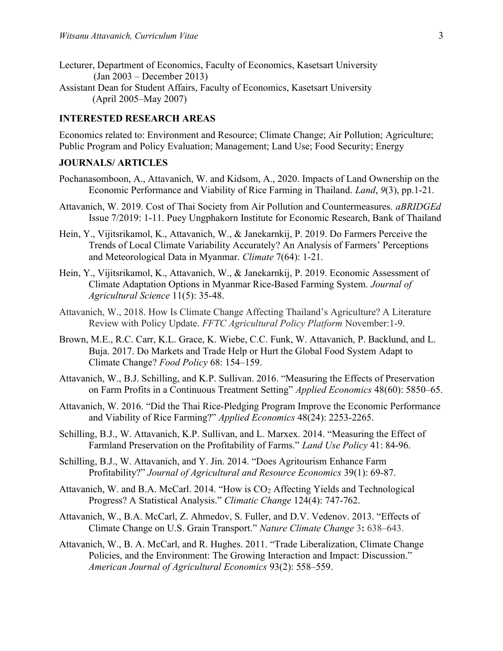- Lecturer, Department of Economics, Faculty of Economics, Kasetsart University (Jan 2003 – December 2013)
- Assistant Dean for Student Affairs, Faculty of Economics, Kasetsart University (April 2005–May 2007)

### INTERESTED RESEARCH AREAS

Economics related to: Environment and Resource; Climate Change; Air Pollution; Agriculture; Public Program and Policy Evaluation; Management; Land Use; Food Security; Energy

# JOURNALS/ ARTICLES

- Pochanasomboon, A., Attavanich, W. and Kidsom, A., 2020. Impacts of Land Ownership on the Economic Performance and Viability of Rice Farming in Thailand. Land, 9(3), pp.1-21.
- Attavanich, W. 2019. Cost of Thai Society from Air Pollution and Countermeasures. aBRIDGEd Issue 7/2019: 1-11. Puey Ungphakorn Institute for Economic Research, Bank of Thailand
- Hein, Y., Vijitsrikamol, K., Attavanich, W., & Janekarnkij, P. 2019. Do Farmers Perceive the Trends of Local Climate Variability Accurately? An Analysis of Farmers' Perceptions and Meteorological Data in Myanmar. Climate 7(64): 1-21.
- Hein, Y., Vijitsrikamol, K., Attavanich, W., & Janekarnkij, P. 2019. Economic Assessment of Climate Adaptation Options in Myanmar Rice-Based Farming System. Journal of Agricultural Science 11(5): 35-48.
- Attavanich, W., 2018. How Is Climate Change Affecting Thailand's Agriculture? A Literature Review with Policy Update. FFTC Agricultural Policy Platform November:1-9.
- Brown, M.E., R.C. Carr, K.L. Grace, K. Wiebe, C.C. Funk, W. Attavanich, P. Backlund, and L. Buja. 2017. Do Markets and Trade Help or Hurt the Global Food System Adapt to Climate Change? Food Policy 68: 154–159.
- Attavanich, W., B.J. Schilling, and K.P. Sullivan. 2016. "Measuring the Effects of Preservation on Farm Profits in a Continuous Treatment Setting" Applied Economics 48(60): 5850–65.
- Attavanich, W. 2016. "Did the Thai Rice-Pledging Program Improve the Economic Performance and Viability of Rice Farming?" Applied Economics 48(24): 2253-2265.
- Schilling, B.J., W. Attavanich, K.P. Sullivan, and L. Marxex. 2014. "Measuring the Effect of Farmland Preservation on the Profitability of Farms." Land Use Policy 41: 84-96.
- Schilling, B.J., W. Attavanich, and Y. Jin. 2014. "Does Agritourism Enhance Farm Profitability?" Journal of Agricultural and Resource Economics 39(1): 69-87.
- Attavanich, W. and B.A. McCarl. 2014. "How is CO<sub>2</sub> Affecting Yields and Technological Progress? A Statistical Analysis." Climatic Change 124(4): 747-762.
- Attavanich, W., B.A. McCarl, Z. Ahmedov, S. Fuller, and D.V. Vedenov. 2013. "Effects of Climate Change on U.S. Grain Transport." Nature Climate Change 3: 638–643.
- Attavanich, W., B. A. McCarl, and R. Hughes. 2011. "Trade Liberalization, Climate Change Policies, and the Environment: The Growing Interaction and Impact: Discussion." American Journal of Agricultural Economics 93(2): 558–559.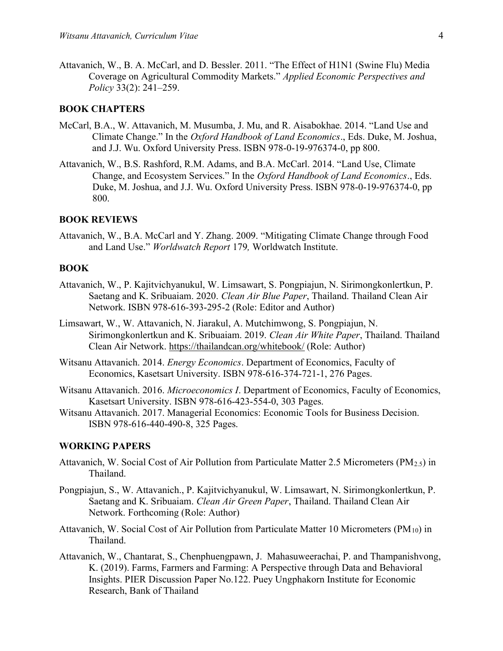Attavanich, W., B. A. McCarl, and D. Bessler. 2011. "The Effect of H1N1 (Swine Flu) Media Coverage on Agricultural Commodity Markets." Applied Economic Perspectives and Policy 33(2): 241–259.

#### BOOK CHAPTERS

- McCarl, B.A., W. Attavanich, M. Musumba, J. Mu, and R. Aisabokhae. 2014. "Land Use and Climate Change." In the Oxford Handbook of Land Economics., Eds. Duke, M. Joshua, and J.J. Wu. Oxford University Press. ISBN 978-0-19-976374-0, pp 800.
- Attavanich, W., B.S. Rashford, R.M. Adams, and B.A. McCarl. 2014. "Land Use, Climate Change, and Ecosystem Services." In the Oxford Handbook of Land Economics., Eds. Duke, M. Joshua, and J.J. Wu. Oxford University Press. ISBN 978-0-19-976374-0, pp 800.

#### BOOK REVIEWS

Attavanich, W., B.A. McCarl and Y. Zhang. 2009. "Mitigating Climate Change through Food and Land Use." Worldwatch Report 179, Worldwatch Institute.

### BOOK

- Attavanich, W., P. Kajitvichyanukul, W. Limsawart, S. Pongpiajun, N. Sirimongkonlertkun, P. Saetang and K. Sribuaiam. 2020. Clean Air Blue Paper, Thailand. Thailand Clean Air Network. ISBN 978-616-393-295-2 (Role: Editor and Author)
- Limsawart, W., W. Attavanich, N. Jiarakul, A. Mutchimwong, S. Pongpiajun, N. Sirimongkonlertkun and K. Sribuaiam. 2019. Clean Air White Paper, Thailand. Thailand Clean Air Network. https://thailandcan.org/whitebook/ (Role: Author)
- Witsanu Attavanich. 2014. Energy Economics. Department of Economics, Faculty of Economics, Kasetsart University. ISBN 978-616-374-721-1, 276 Pages.
- Witsanu Attavanich. 2016. Microeconomics I. Department of Economics, Faculty of Economics, Kasetsart University. ISBN 978-616-423-554-0, 303 Pages.
- Witsanu Attavanich. 2017. Managerial Economics: Economic Tools for Business Decision. ISBN 978-616-440-490-8, 325 Pages.

#### WORKING PAPERS

- Attavanich, W. Social Cost of Air Pollution from Particulate Matter 2.5 Micrometers ( $PM_{2.5}$ ) in Thailand.
- Pongpiajun, S., W. Attavanich., P. Kajitvichyanukul, W. Limsawart, N. Sirimongkonlertkun, P. Saetang and K. Sribuaiam. Clean Air Green Paper, Thailand. Thailand Clean Air Network. Forthcoming (Role: Author)
- Attavanich, W. Social Cost of Air Pollution from Particulate Matter 10 Micrometers (PM<sub>10</sub>) in Thailand.
- Attavanich, W., Chantarat, S., Chenphuengpawn, J. Mahasuweerachai, P. and Thampanishvong, K. (2019). Farms, Farmers and Farming: A Perspective through Data and Behavioral Insights. PIER Discussion Paper No.122. Puey Ungphakorn Institute for Economic Research, Bank of Thailand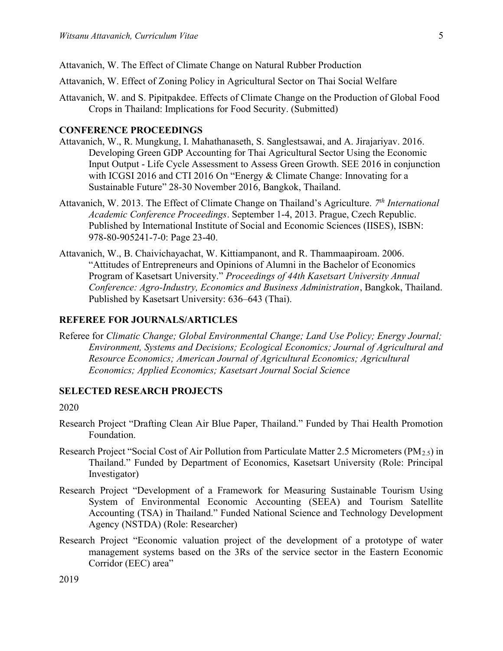- Attavanich, W. Effect of Zoning Policy in Agricultural Sector on Thai Social Welfare
- Attavanich, W. and S. Pipitpakdee. Effects of Climate Change on the Production of Global Food Crops in Thailand: Implications for Food Security. (Submitted)

### CONFERENCE PROCEEDINGS

- Attavanich, W., R. Mungkung, I. Mahathanaseth, S. Sanglestsawai, and A. Jirajariyav. 2016. Developing Green GDP Accounting for Thai Agricultural Sector Using the Economic Input Output - Life Cycle Assessment to Assess Green Growth. SEE 2016 in conjunction with ICGSI 2016 and CTI 2016 On "Energy & Climate Change: Innovating for a Sustainable Future" 28-30 November 2016, Bangkok, Thailand.
- Attavanich, W. 2013. The Effect of Climate Change on Thailand's Agriculture. 7<sup>th</sup> International Academic Conference Proceedings. September 1-4, 2013. Prague, Czech Republic. Published by International Institute of Social and Economic Sciences (IISES), ISBN: 978-80-905241-7-0: Page 23-40.
- Attavanich, W., B. Chaivichayachat, W. Kittiampanont, and R. Thammaapiroam. 2006. "Attitudes of Entrepreneurs and Opinions of Alumni in the Bachelor of Economics Program of Kasetsart University." Proceedings of 44th Kasetsart University Annual Conference: Agro-Industry, Economics and Business Administration, Bangkok, Thailand. Published by Kasetsart University: 636–643 (Thai).

#### REFEREE FOR JOURNALS/ARTICLES

Referee for Climatic Change; Global Environmental Change; Land Use Policy; Energy Journal; Environment, Systems and Decisions; Ecological Economics; Journal of Agricultural and Resource Economics; American Journal of Agricultural Economics; Agricultural Economics; Applied Economics; Kasetsart Journal Social Science

#### SELECTED RESEARCH PROJECTS

#### 2020

- Research Project "Drafting Clean Air Blue Paper, Thailand." Funded by Thai Health Promotion Foundation.
- Research Project "Social Cost of Air Pollution from Particulate Matter 2.5 Micrometers (PM2.5) in Thailand." Funded by Department of Economics, Kasetsart University (Role: Principal Investigator)
- Research Project "Development of a Framework for Measuring Sustainable Tourism Using System of Environmental Economic Accounting (SEEA) and Tourism Satellite Accounting (TSA) in Thailand." Funded National Science and Technology Development Agency (NSTDA) (Role: Researcher)
- Research Project "Economic valuation project of the development of a prototype of water management systems based on the 3Rs of the service sector in the Eastern Economic Corridor (EEC) area"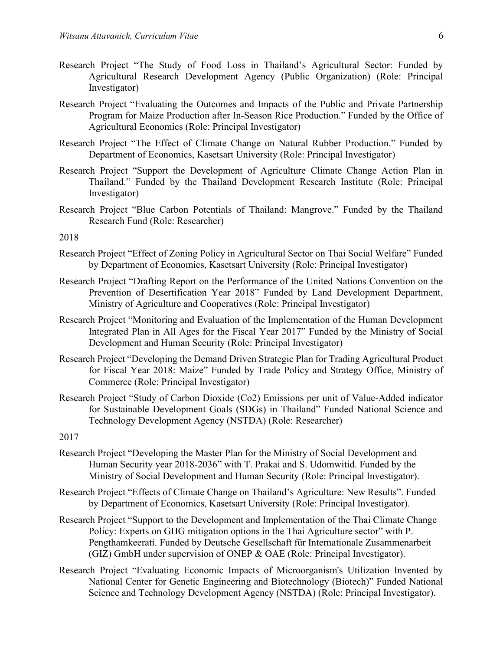- Research Project "The Study of Food Loss in Thailand's Agricultural Sector: Funded by Agricultural Research Development Agency (Public Organization) (Role: Principal Investigator)
- Research Project "Evaluating the Outcomes and Impacts of the Public and Private Partnership Program for Maize Production after In-Season Rice Production." Funded by the Office of Agricultural Economics (Role: Principal Investigator)
- Research Project "The Effect of Climate Change on Natural Rubber Production." Funded by Department of Economics, Kasetsart University (Role: Principal Investigator)
- Research Project "Support the Development of Agriculture Climate Change Action Plan in Thailand." Funded by the Thailand Development Research Institute (Role: Principal Investigator)
- Research Project "Blue Carbon Potentials of Thailand: Mangrove." Funded by the Thailand Research Fund (Role: Researcher)

2018

- Research Project "Effect of Zoning Policy in Agricultural Sector on Thai Social Welfare" Funded by Department of Economics, Kasetsart University (Role: Principal Investigator)
- Research Project "Drafting Report on the Performance of the United Nations Convention on the Prevention of Desertification Year 2018" Funded by Land Development Department, Ministry of Agriculture and Cooperatives (Role: Principal Investigator)
- Research Project "Monitoring and Evaluation of the Implementation of the Human Development Integrated Plan in All Ages for the Fiscal Year 2017" Funded by the Ministry of Social Development and Human Security (Role: Principal Investigator)
- Research Project "Developing the Demand Driven Strategic Plan for Trading Agricultural Product for Fiscal Year 2018: Maize" Funded by Trade Policy and Strategy Office, Ministry of Commerce (Role: Principal Investigator)
- Research Project "Study of Carbon Dioxide (Co2) Emissions per unit of Value-Added indicator for Sustainable Development Goals (SDGs) in Thailand" Funded National Science and Technology Development Agency (NSTDA) (Role: Researcher)

2017

- Research Project "Developing the Master Plan for the Ministry of Social Development and Human Security year 2018-2036" with T. Prakai and S. Udomwitid. Funded by the Ministry of Social Development and Human Security (Role: Principal Investigator).
- Research Project "Effects of Climate Change on Thailand's Agriculture: New Results". Funded by Department of Economics, Kasetsart University (Role: Principal Investigator).
- Research Project "Support to the Development and Implementation of the Thai Climate Change Policy: Experts on GHG mitigation options in the Thai Agriculture sector" with P. Pengthamkeerati. Funded by Deutsche Gesellschaft für Internationale Zusammenarbeit (GIZ) GmbH under supervision of ONEP & OAE (Role: Principal Investigator).
- Research Project "Evaluating Economic Impacts of Microorganism's Utilization Invented by National Center for Genetic Engineering and Biotechnology (Biotech)" Funded National Science and Technology Development Agency (NSTDA) (Role: Principal Investigator).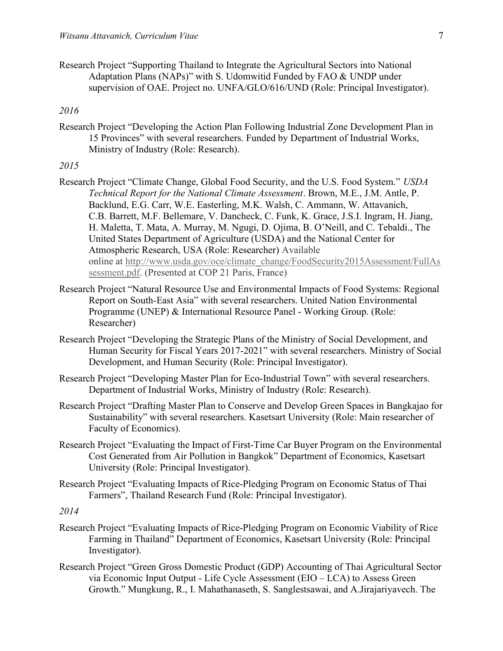Research Project "Supporting Thailand to Integrate the Agricultural Sectors into National Adaptation Plans (NAPs)" with S. Udomwitid Funded by FAO & UNDP under supervision of OAE. Project no. UNFA/GLO/616/UND (Role: Principal Investigator).

## 2016

Research Project "Developing the Action Plan Following Industrial Zone Development Plan in 15 Provinces" with several researchers. Funded by Department of Industrial Works, Ministry of Industry (Role: Research).

#### 2015

- Research Project "Climate Change, Global Food Security, and the U.S. Food System." USDA Technical Report for the National Climate Assessment. Brown, M.E., J.M. Antle, P. Backlund, E.G. Carr, W.E. Easterling, M.K. Walsh, C. Ammann, W. Attavanich, C.B. Barrett, M.F. Bellemare, V. Dancheck, C. Funk, K. Grace, J.S.I. Ingram, H. Jiang, H. Maletta, T. Mata, A. Murray, M. Ngugi, D. Ojima, B. O'Neill, and C. Tebaldi., The United States Department of Agriculture (USDA) and the National Center for Atmospheric Research, USA (Role: Researcher) Available online at http://www.usda.gov/oce/climate\_change/FoodSecurity2015Assessment/FullAs sessment.pdf. (Presented at COP 21 Paris, France)
- Research Project "Natural Resource Use and Environmental Impacts of Food Systems: Regional Report on South-East Asia" with several researchers. United Nation Environmental Programme (UNEP) & International Resource Panel - Working Group. (Role: Researcher)
- Research Project "Developing the Strategic Plans of the Ministry of Social Development, and Human Security for Fiscal Years 2017-2021" with several researchers. Ministry of Social Development, and Human Security (Role: Principal Investigator).
- Research Project "Developing Master Plan for Eco-Industrial Town" with several researchers. Department of Industrial Works, Ministry of Industry (Role: Research).
- Research Project "Drafting Master Plan to Conserve and Develop Green Spaces in Bangkajao for Sustainability" with several researchers. Kasetsart University (Role: Main researcher of Faculty of Economics).
- Research Project "Evaluating the Impact of First-Time Car Buyer Program on the Environmental Cost Generated from Air Pollution in Bangkok" Department of Economics, Kasetsart University (Role: Principal Investigator).
- Research Project "Evaluating Impacts of Rice-Pledging Program on Economic Status of Thai Farmers", Thailand Research Fund (Role: Principal Investigator).

2014

- Research Project "Evaluating Impacts of Rice-Pledging Program on Economic Viability of Rice Farming in Thailand" Department of Economics, Kasetsart University (Role: Principal Investigator).
- Research Project "Green Gross Domestic Product (GDP) Accounting of Thai Agricultural Sector via Economic Input Output - Life Cycle Assessment (EIO – LCA) to Assess Green Growth." Mungkung, R., I. Mahathanaseth, S. Sanglestsawai, and A.Jirajariyavech. The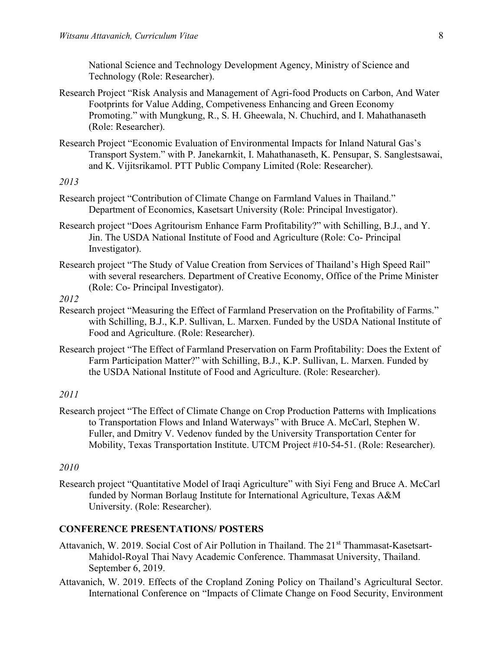National Science and Technology Development Agency, Ministry of Science and Technology (Role: Researcher).

- Research Project "Risk Analysis and Management of Agri-food Products on Carbon, And Water Footprints for Value Adding, Competiveness Enhancing and Green Economy Promoting." with Mungkung, R., S. H. Gheewala, N. Chuchird, and I. Mahathanaseth (Role: Researcher).
- Research Project "Economic Evaluation of Environmental Impacts for Inland Natural Gas's Transport System." with P. Janekarnkit, I. Mahathanaseth, K. Pensupar, S. Sanglestsawai, and K. Vijitsrikamol. PTT Public Company Limited (Role: Researcher).

### 2013

- Research project "Contribution of Climate Change on Farmland Values in Thailand." Department of Economics, Kasetsart University (Role: Principal Investigator).
- Research project "Does Agritourism Enhance Farm Profitability?" with Schilling, B.J., and Y. Jin. The USDA National Institute of Food and Agriculture (Role: Co- Principal Investigator).
- Research project "The Study of Value Creation from Services of Thailand's High Speed Rail" with several researchers. Department of Creative Economy, Office of the Prime Minister (Role: Co- Principal Investigator).

### 2012

- Research project "Measuring the Effect of Farmland Preservation on the Profitability of Farms." with Schilling, B.J., K.P. Sullivan, L. Marxen. Funded by the USDA National Institute of Food and Agriculture. (Role: Researcher).
- Research project "The Effect of Farmland Preservation on Farm Profitability: Does the Extent of Farm Participation Matter?" with Schilling, B.J., K.P. Sullivan, L. Marxen. Funded by the USDA National Institute of Food and Agriculture. (Role: Researcher).

### 2011

Research project "The Effect of Climate Change on Crop Production Patterns with Implications to Transportation Flows and Inland Waterways" with Bruce A. McCarl, Stephen W. Fuller, and Dmitry V. Vedenov funded by the University Transportation Center for Mobility, Texas Transportation Institute. UTCM Project #10-54-51. (Role: Researcher).

### 2010

Research project "Quantitative Model of Iraqi Agriculture" with Siyi Feng and Bruce A. McCarl funded by Norman Borlaug Institute for International Agriculture, Texas A&M University. (Role: Researcher).

### CONFERENCE PRESENTATIONS/ POSTERS

- Attavanich, W. 2019. Social Cost of Air Pollution in Thailand. The 21<sup>st</sup> Thammasat-Kasetsart-Mahidol-Royal Thai Navy Academic Conference. Thammasat University, Thailand. September 6, 2019.
- Attavanich, W. 2019. Effects of the Cropland Zoning Policy on Thailand's Agricultural Sector. International Conference on "Impacts of Climate Change on Food Security, Environment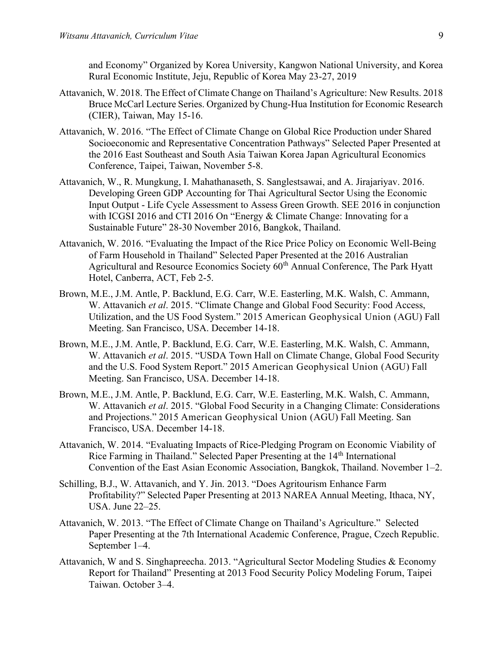and Economy" Organized by Korea University, Kangwon National University, and Korea Rural Economic Institute, Jeju, Republic of Korea May 23-27, 2019

- Attavanich, W. 2018. The Effect of Climate Change on Thailand's Agriculture: New Results. 2018 Bruce McCarl Lecture Series. Organized by Chung-Hua Institution for Economic Research (CIER), Taiwan, May 15-16.
- Attavanich, W. 2016. "The Effect of Climate Change on Global Rice Production under Shared Socioeconomic and Representative Concentration Pathways" Selected Paper Presented at the 2016 East Southeast and South Asia Taiwan Korea Japan Agricultural Economics Conference, Taipei, Taiwan, November 5-8.
- Attavanich, W., R. Mungkung, I. Mahathanaseth, S. Sanglestsawai, and A. Jirajariyav. 2016. Developing Green GDP Accounting for Thai Agricultural Sector Using the Economic Input Output - Life Cycle Assessment to Assess Green Growth. SEE 2016 in conjunction with ICGSI 2016 and CTI 2016 On "Energy & Climate Change: Innovating for a Sustainable Future" 28-30 November 2016, Bangkok, Thailand.
- Attavanich, W. 2016. "Evaluating the Impact of the Rice Price Policy on Economic Well-Being of Farm Household in Thailand" Selected Paper Presented at the 2016 Australian Agricultural and Resource Economics Society 60<sup>th</sup> Annual Conference, The Park Hyatt Hotel, Canberra, ACT, Feb 2-5.
- Brown, M.E., J.M. Antle, P. Backlund, E.G. Carr, W.E. Easterling, M.K. Walsh, C. Ammann, W. Attavanich et al. 2015. "Climate Change and Global Food Security: Food Access, Utilization, and the US Food System." 2015 American Geophysical Union (AGU) Fall Meeting. San Francisco, USA. December 14-18.
- Brown, M.E., J.M. Antle, P. Backlund, E.G. Carr, W.E. Easterling, M.K. Walsh, C. Ammann, W. Attavanich et al. 2015. "USDA Town Hall on Climate Change, Global Food Security and the U.S. Food System Report." 2015 American Geophysical Union (AGU) Fall Meeting. San Francisco, USA. December 14-18.
- Brown, M.E., J.M. Antle, P. Backlund, E.G. Carr, W.E. Easterling, M.K. Walsh, C. Ammann, W. Attavanich et al. 2015. "Global Food Security in a Changing Climate: Considerations and Projections." 2015 American Geophysical Union (AGU) Fall Meeting. San Francisco, USA. December 14-18.
- Attavanich, W. 2014. "Evaluating Impacts of Rice-Pledging Program on Economic Viability of Rice Farming in Thailand." Selected Paper Presenting at the 14<sup>th</sup> International Convention of the East Asian Economic Association, Bangkok, Thailand. November 1–2.
- Schilling, B.J., W. Attavanich, and Y. Jin. 2013. "Does Agritourism Enhance Farm Profitability?" Selected Paper Presenting at 2013 NAREA Annual Meeting, Ithaca, NY, USA. June 22–25.
- Attavanich, W. 2013. "The Effect of Climate Change on Thailand's Agriculture." Selected Paper Presenting at the 7th International Academic Conference, Prague, Czech Republic. September 1–4.
- Attavanich, W and S. Singhapreecha. 2013. "Agricultural Sector Modeling Studies & Economy Report for Thailand" Presenting at 2013 Food Security Policy Modeling Forum, Taipei Taiwan. October 3–4.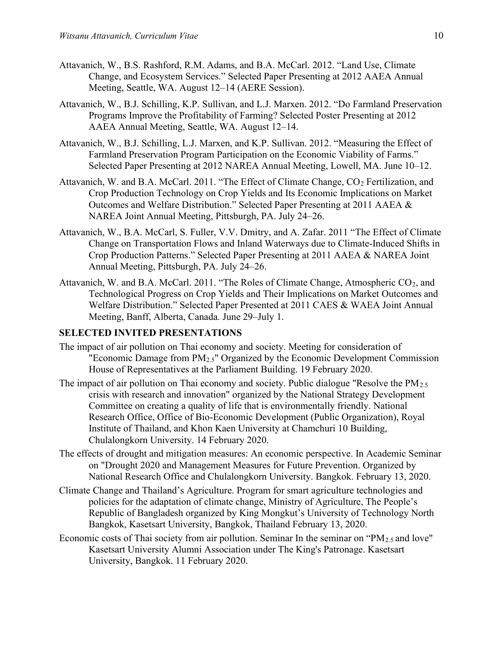- Attavanich, W., B.S. Rashford, R.M. Adams, and B.A. McCarl. 2012. "Land Use, Climate Change, and Ecosystem Services." Selected Paper Presenting at 2012 AAEA Annual Meeting, Seattle, WA. August 12–14 (AERE Session).
- Attavanich, W., B.J. Schilling, K.P. Sullivan, and L.J. Marxen. 2012. "Do Farmland Preservation Programs Improve the Profitability of Farming? Selected Poster Presenting at 2012 AAEA Annual Meeting, Seattle, WA. August 12–14.
- Attavanich, W., B.J. Schilling, L.J. Marxen, and K.P. Sullivan. 2012. "Measuring the Effect of Farmland Preservation Program Participation on the Economic Viability of Farms." Selected Paper Presenting at 2012 NAREA Annual Meeting, Lowell, MA. June 10–12.
- Attavanich, W. and B.A. McCarl. 2011. "The Effect of Climate Change, CO<sub>2</sub> Fertilization, and Crop Production Technology on Crop Yields and Its Economic Implications on Market Outcomes and Welfare Distribution." Selected Paper Presenting at 2011 AAEA & NAREA Joint Annual Meeting, Pittsburgh, PA. July 24–26.
- Attavanich, W., B.A. McCarl, S. Fuller, V.V. Dmitry, and A. Zafar. 2011 "The Effect of Climate Change on Transportation Flows and Inland Waterways due to Climate-Induced Shifts in Crop Production Patterns." Selected Paper Presenting at 2011 AAEA & NAREA Joint Annual Meeting, Pittsburgh, PA. July 24–26.
- Attavanich, W. and B.A. McCarl. 2011. "The Roles of Climate Change, Atmospheric CO<sub>2</sub>, and Technological Progress on Crop Yields and Their Implications on Market Outcomes and Welfare Distribution." Selected Paper Presented at 2011 CAES & WAEA Joint Annual Meeting, Banff, Alberta, Canada. June 29–July 1.

#### SELECTED INVITED PRESENTATIONS

- The impact of air pollution on Thai economy and society. Meeting for consideration of "Economic Damage from  $PM_{2.5}$ " Organized by the Economic Development Commission House of Representatives at the Parliament Building. 19 February 2020.
- The impact of air pollution on Thai economy and society. Public dialogue "Resolve the  $PM_{2.5}$ crisis with research and innovation" organized by the National Strategy Development Committee on creating a quality of life that is environmentally friendly. National Research Office, Office of Bio-Economic Development (Public Organization), Royal Institute of Thailand, and Khon Kaen University at Chamchuri 10 Building, Chulalongkorn University. 14 February 2020.
- The effects of drought and mitigation measures: An economic perspective. In Academic Seminar on "Drought 2020 and Management Measures for Future Prevention. Organized by National Research Office and Chulalongkorn University. Bangkok. February 13, 2020.
- Climate Change and Thailand's Agriculture. Program for smart agriculture technologies and policies for the adaptation of climate change, Ministry of Agriculture, The People's Republic of Bangladesh organized by King Mongkut's University of Technology North Bangkok, Kasetsart University, Bangkok, Thailand February 13, 2020.
- Economic costs of Thai society from air pollution. Seminar In the seminar on "PM<sub>2.5</sub> and love" Kasetsart University Alumni Association under The King's Patronage. Kasetsart University, Bangkok. 11 February 2020.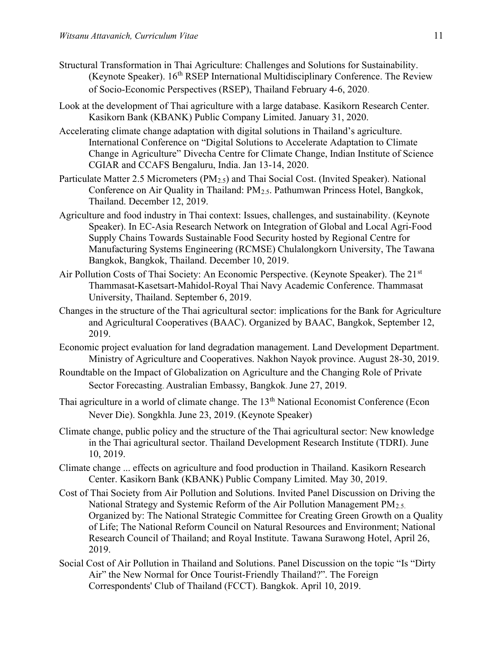- Structural Transformation in Thai Agriculture: Challenges and Solutions for Sustainability. (Keynote Speaker).  $16^{th}$  RSEP International Multidisciplinary Conference. The Review of Socio-Economic Perspectives (RSEP), Thailand February 4-6, 2020.
- Look at the development of Thai agriculture with a large database. Kasikorn Research Center. Kasikorn Bank (KBANK) Public Company Limited. January 31, 2020.
- Accelerating climate change adaptation with digital solutions in Thailand's agriculture. International Conference on "Digital Solutions to Accelerate Adaptation to Climate Change in Agriculture" Divecha Centre for Climate Change, Indian Institute of Science CGIAR and CCAFS Bengaluru, India. Jan 13-14, 2020.
- Particulate Matter 2.5 Micrometers (PM2.5) and Thai Social Cost. (Invited Speaker). National Conference on Air Quality in Thailand: PM2.5. Pathumwan Princess Hotel, Bangkok, Thailand. December 12, 2019.
- Agriculture and food industry in Thai context: Issues, challenges, and sustainability. (Keynote Speaker). In EC-Asia Research Network on Integration of Global and Local Agri-Food Supply Chains Towards Sustainable Food Security hosted by Regional Centre for Manufacturing Systems Engineering (RCMSE) Chulalongkorn University, The Tawana Bangkok, Bangkok, Thailand. December 10, 2019.
- Air Pollution Costs of Thai Society: An Economic Perspective. (Keynote Speaker). The 21<sup>st</sup> Thammasat-Kasetsart-Mahidol-Royal Thai Navy Academic Conference. Thammasat University, Thailand. September 6, 2019.
- Changes in the structure of the Thai agricultural sector: implications for the Bank for Agriculture and Agricultural Cooperatives (BAAC). Organized by BAAC, Bangkok, September 12, 2019.
- Economic project evaluation for land degradation management. Land Development Department. Ministry of Agriculture and Cooperatives. Nakhon Nayok province. August 28-30, 2019.
- Roundtable on the Impact of Globalization on Agriculture and the Changing Role of Private Sector Forecasting. Australian Embassy, Bangkok. June 27, 2019.
- Thai agriculture in a world of climate change. The 13<sup>th</sup> National Economist Conference (Econ Never Die). Songkhla. June 23, 2019. (Keynote Speaker)
- Climate change, public policy and the structure of the Thai agricultural sector: New knowledge in the Thai agricultural sector. Thailand Development Research Institute (TDRI). June 10, 2019.
- Climate change ... effects on agriculture and food production in Thailand. Kasikorn Research Center. Kasikorn Bank (KBANK) Public Company Limited. May 30, 2019.
- Cost of Thai Society from Air Pollution and Solutions. Invited Panel Discussion on Driving the National Strategy and Systemic Reform of the Air Pollution Management PM<sub>2.5.</sub> Organized by: The National Strategic Committee for Creating Green Growth on a Quality of Life; The National Reform Council on Natural Resources and Environment; National Research Council of Thailand; and Royal Institute. Tawana Surawong Hotel, April 26, 2019.
- Social Cost of Air Pollution in Thailand and Solutions. Panel Discussion on the topic "Is "Dirty Air" the New Normal for Once Tourist-Friendly Thailand?". The Foreign Correspondents' Club of Thailand (FCCT). Bangkok. April 10, 2019.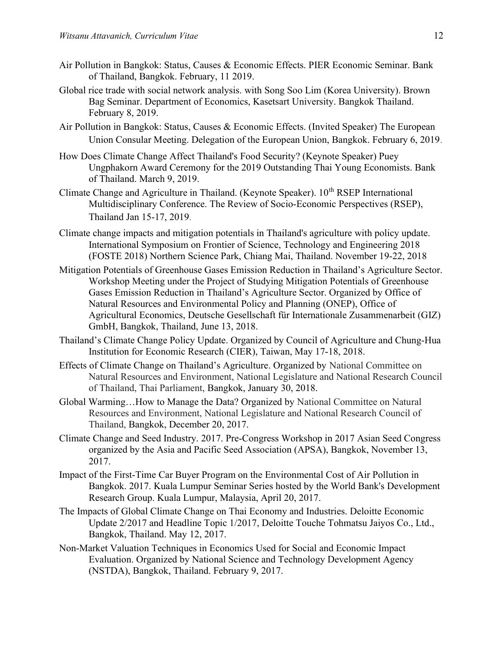- Air Pollution in Bangkok: Status, Causes & Economic Effects. PIER Economic Seminar. Bank of Thailand, Bangkok. February, 11 2019.
- Global rice trade with social network analysis. with Song Soo Lim (Korea University). Brown Bag Seminar. Department of Economics, Kasetsart University. Bangkok Thailand. February 8, 2019.
- Air Pollution in Bangkok: Status, Causes & Economic Effects. (Invited Speaker) The European Union Consular Meeting. Delegation of the European Union, Bangkok. February 6, 2019.
- How Does Climate Change Affect Thailand's Food Security? (Keynote Speaker) Puey Ungphakorn Award Ceremony for the 2019 Outstanding Thai Young Economists. Bank of Thailand. March 9, 2019.
- Climate Change and Agriculture in Thailand. (Keynote Speaker). 10<sup>th</sup> RSEP International Multidisciplinary Conference. The Review of Socio-Economic Perspectives (RSEP), Thailand Jan 15-17, 2019.
- Climate change impacts and mitigation potentials in Thailand's agriculture with policy update. International Symposium on Frontier of Science, Technology and Engineering 2018 (FOSTE 2018) Northern Science Park, Chiang Mai, Thailand. November 19-22, 2018
- Mitigation Potentials of Greenhouse Gases Emission Reduction in Thailand's Agriculture Sector. Workshop Meeting under the Project of Studying Mitigation Potentials of Greenhouse Gases Emission Reduction in Thailand's Agriculture Sector. Organized by Office of Natural Resources and Environmental Policy and Planning (ONEP), Office of Agricultural Economics, Deutsche Gesellschaft für Internationale Zusammenarbeit (GIZ) GmbH, Bangkok, Thailand, June 13, 2018.
- Thailand's Climate Change Policy Update. Organized by Council of Agriculture and Chung-Hua Institution for Economic Research (CIER), Taiwan, May 17-18, 2018.
- Effects of Climate Change on Thailand's Agriculture. Organized by National Committee on Natural Resources and Environment, National Legislature and National Research Council of Thailand, Thai Parliament, Bangkok, January 30, 2018.
- Global Warming…How to Manage the Data? Organized by National Committee on Natural Resources and Environment, National Legislature and National Research Council of Thailand, Bangkok, December 20, 2017.
- Climate Change and Seed Industry. 2017. Pre-Congress Workshop in 2017 Asian Seed Congress organized by the Asia and Pacific Seed Association (APSA), Bangkok, November 13, 2017.
- Impact of the First-Time Car Buyer Program on the Environmental Cost of Air Pollution in Bangkok. 2017. Kuala Lumpur Seminar Series hosted by the World Bank's Development Research Group. Kuala Lumpur, Malaysia, April 20, 2017.
- The Impacts of Global Climate Change on Thai Economy and Industries. Deloitte Economic Update 2/2017 and Headline Topic 1/2017, Deloitte Touche Tohmatsu Jaiyos Co., Ltd., Bangkok, Thailand. May 12, 2017.
- Non-Market Valuation Techniques in Economics Used for Social and Economic Impact Evaluation. Organized by National Science and Technology Development Agency (NSTDA), Bangkok, Thailand. February 9, 2017.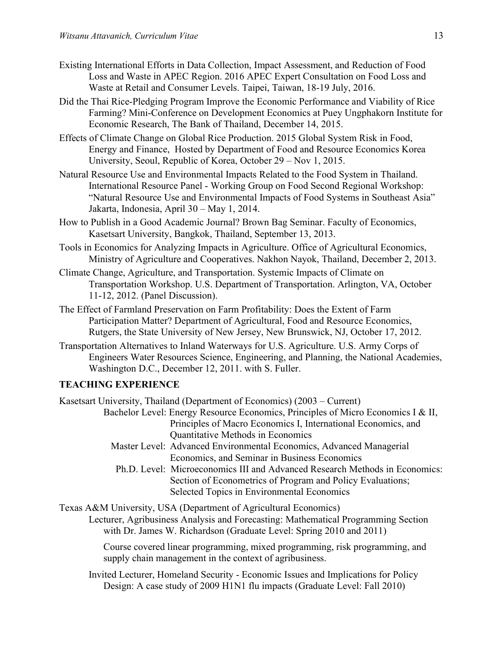- Existing International Efforts in Data Collection, Impact Assessment, and Reduction of Food Loss and Waste in APEC Region. 2016 APEC Expert Consultation on Food Loss and Waste at Retail and Consumer Levels. Taipei, Taiwan, 18-19 July, 2016.
- Did the Thai Rice-Pledging Program Improve the Economic Performance and Viability of Rice Farming? Mini-Conference on Development Economics at Puey Ungphakorn Institute for Economic Research, The Bank of Thailand, December 14, 2015.
- Effects of Climate Change on Global Rice Production. 2015 Global System Risk in Food, Energy and Finance, Hosted by Department of Food and Resource Economics Korea University, Seoul, Republic of Korea, October 29 – Nov 1, 2015.
- Natural Resource Use and Environmental Impacts Related to the Food System in Thailand. International Resource Panel - Working Group on Food Second Regional Workshop: "Natural Resource Use and Environmental Impacts of Food Systems in Southeast Asia" Jakarta, Indonesia, April 30 – May 1, 2014.
- How to Publish in a Good Academic Journal? Brown Bag Seminar. Faculty of Economics, Kasetsart University, Bangkok, Thailand, September 13, 2013.
- Tools in Economics for Analyzing Impacts in Agriculture. Office of Agricultural Economics, Ministry of Agriculture and Cooperatives. Nakhon Nayok, Thailand, December 2, 2013.
- Climate Change, Agriculture, and Transportation. Systemic Impacts of Climate on Transportation Workshop. U.S. Department of Transportation. Arlington, VA, October 11-12, 2012. (Panel Discussion).
- The Effect of Farmland Preservation on Farm Profitability: Does the Extent of Farm Participation Matter? Department of Agricultural, Food and Resource Economics, Rutgers, the State University of New Jersey, New Brunswick, NJ, October 17, 2012.
- Transportation Alternatives to Inland Waterways for U.S. Agriculture. U.S. Army Corps of Engineers Water Resources Science, Engineering, and Planning, the National Academies, Washington D.C., December 12, 2011. with S. Fuller.

# TEACHING EXPERIENCE

Kasetsart University, Thailand (Department of Economics) (2003 – Current) Bachelor Level: Energy Resource Economics, Principles of Micro Economics I & II, Principles of Macro Economics I, International Economics, and Quantitative Methods in Economics

- Master Level: Advanced Environmental Economics, Advanced Managerial Economics, and Seminar in Business Economics
- Ph.D. Level: Microeconomics III and Advanced Research Methods in Economics: Section of Econometrics of Program and Policy Evaluations; Selected Topics in Environmental Economics

Texas A&M University, USA (Department of Agricultural Economics)

Lecturer, Agribusiness Analysis and Forecasting: Mathematical Programming Section with Dr. James W. Richardson (Graduate Level: Spring 2010 and 2011)

Course covered linear programming, mixed programming, risk programming, and supply chain management in the context of agribusiness.

Invited Lecturer, Homeland Security - Economic Issues and Implications for Policy Design: A case study of 2009 H1N1 flu impacts (Graduate Level: Fall 2010)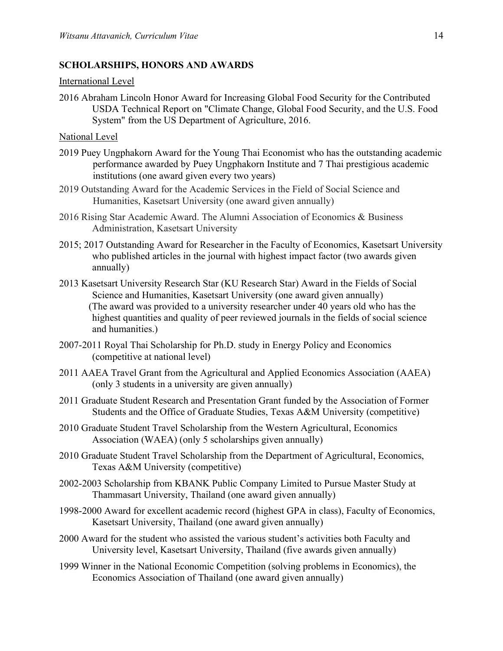### SCHOLARSHIPS, HONORS AND AWARDS

#### International Level

2016 Abraham Lincoln Honor Award for Increasing Global Food Security for the Contributed USDA Technical Report on "Climate Change, Global Food Security, and the U.S. Food System" from the US Department of Agriculture, 2016.

#### National Level

- 2019 Puey Ungphakorn Award for the Young Thai Economist who has the outstanding academic performance awarded by Puey Ungphakorn Institute and 7 Thai prestigious academic institutions (one award given every two years)
- 2019 Outstanding Award for the Academic Services in the Field of Social Science and Humanities, Kasetsart University (one award given annually)
- 2016 Rising Star Academic Award. The Alumni Association of Economics & Business Administration, Kasetsart University
- 2015; 2017 Outstanding Award for Researcher in the Faculty of Economics, Kasetsart University who published articles in the journal with highest impact factor (two awards given annually)
- 2013 Kasetsart University Research Star (KU Research Star) Award in the Fields of Social Science and Humanities, Kasetsart University (one award given annually) (The award was provided to a university researcher under 40 years old who has the highest quantities and quality of peer reviewed journals in the fields of social science and humanities.)
- 2007-2011 Royal Thai Scholarship for Ph.D. study in Energy Policy and Economics (competitive at national level)
- 2011 AAEA Travel Grant from the Agricultural and Applied Economics Association (AAEA) (only 3 students in a university are given annually)
- 2011 Graduate Student Research and Presentation Grant funded by the Association of Former Students and the Office of Graduate Studies, Texas A&M University (competitive)
- 2010 Graduate Student Travel Scholarship from the Western Agricultural, Economics Association (WAEA) (only 5 scholarships given annually)
- 2010 Graduate Student Travel Scholarship from the Department of Agricultural, Economics, Texas A&M University (competitive)
- 2002-2003 Scholarship from KBANK Public Company Limited to Pursue Master Study at Thammasart University, Thailand (one award given annually)
- 1998-2000 Award for excellent academic record (highest GPA in class), Faculty of Economics, Kasetsart University, Thailand (one award given annually)
- 2000 Award for the student who assisted the various student's activities both Faculty and University level, Kasetsart University, Thailand (five awards given annually)
- 1999 Winner in the National Economic Competition (solving problems in Economics), the Economics Association of Thailand (one award given annually)